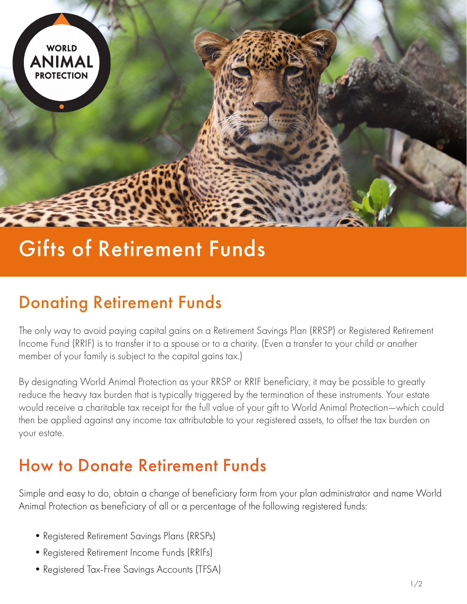

# Gifts of Retirement Funds

# Donating Retirement Funds

The only way to avoid paying capital gains on a Retirement Savings Plan (RRSP) or Registered Retirement Income Fund (RRIF) is to transfer it to a spouse or to a charity. (Even a transfer to your child or another member of your family is subject to the capital gains tax.)

By designating World Animal Protection as your RRSP or RRIF beneficiary, it may be possible to greatly reduce the heavy tax burden that is typically triggered by the termination of these instruments. Your estate would receive a charitable tax receipt for the full value of your gift to World Animal Protection—which could then be applied against any income tax attributable to your registered assets, to offset the tax burden on your estate.

### How to Donate Retirement Funds

Simple and easy to do, obtain a change of beneficiary form from your plan administrator and name World Animal Protection as beneficiary of all or a percentage of the following registered funds:

- •Registered Retirement Savings Plans (RRSPs)
- •Registered Retirement Income Funds (RRIFs)
- •Registered Tax-Free Savings Accounts (TFSA)